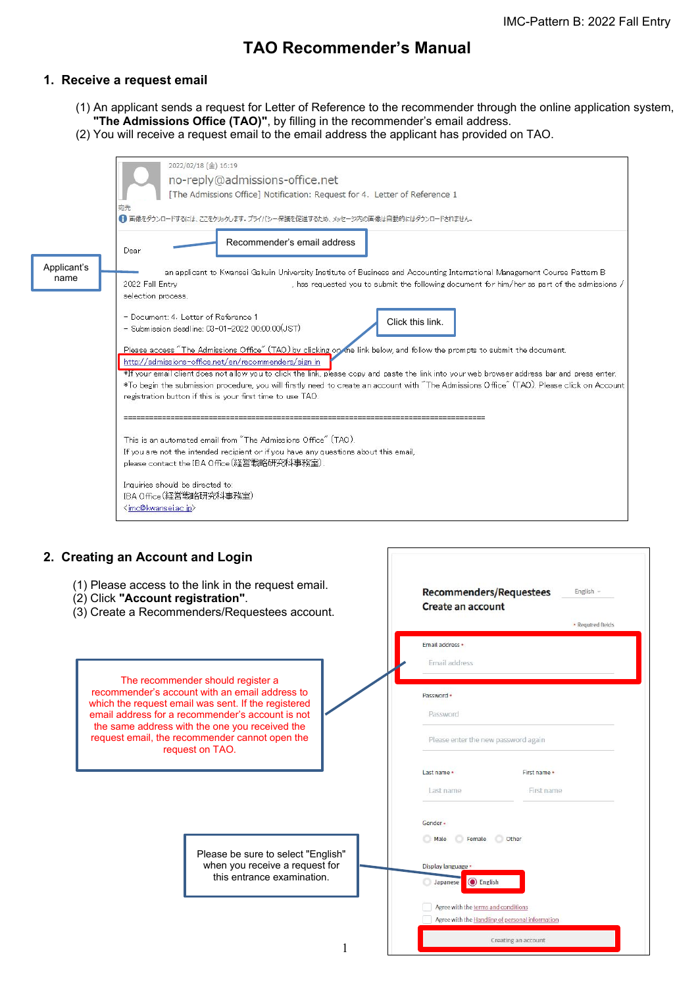# **TAO Recommender's Manual**

### **1. Receive a request email**

- (1) An applicant sends a request for Letter of Reference to the recommender through the online application system, **"The Admissions Office (TAO)"**, by filling in the recommender's email address.
- (2) You will receive a request email to the email address the applicant has provided on TAO.

|                     | 2022/02/18 (金) 16:19<br>no-reply@admissions-office.net<br>[The Admissions Office] Notification: Request for 4. Letter of Reference 1<br>京先<br>●●画像をダウンロードするには、ここをクリックします。プライバシー保護を促進するため、メッセージ内の画像は自動的にはダウンロードされません。                                                                                                                                                                                                                                                                                                                           |
|---------------------|------------------------------------------------------------------------------------------------------------------------------------------------------------------------------------------------------------------------------------------------------------------------------------------------------------------------------------------------------------------------------------------------------------------------------------------------------------------------------------------------------------------------------------------------|
| Applicant's<br>name | Recommender's email address<br>Dear<br>an applicant to Kwansei Gakuin University Institute of Business and Accounting International Management Course Pattern B<br>2022 Fall Entry<br>, has requested you to submit the following document for him/her as part of the admissions /<br>selection process.<br>- Document: 4. Letter of Reference 1<br>Click this link.<br>- Submission deadline: 03-01-2022 00:00:00(JST)                                                                                                                        |
|                     | Please access "The Admissions Office" (TAO) by clicking on the link below, and follow the prompts to submit the document.<br>http://admissions-office.net/en/recommenders/sign in<br>*If your email client does not allow you to click the link, please copy and paste the link into your web browser address bar and press enter.<br>*To begin the submission procedure, you will firstly need to create an account with "The Admissions Office" (TAO). Please click on Account<br>registration button if this is your first time to use TAO. |
|                     | This is an automated email from "The Admissions Office" (TAO).<br>If you are not the intended recipient or if you have any questions about this email,<br>please contact the IBA Office(経営戦略研究科事務室),<br>Inquiries should be directed to:<br>IBA Office(経営戦略研究科事務室)<br><imc@kwansei.ac.jp></imc@kwansei.ac.jp>                                                                                                                                                                                                                                  |

#### **2. Creating an Account and L**

- $(1)$  Please access to the link
- $(2)$  Click **"Account registration**
- $(3)$  Create a Recommenders

The recommender should recommender's account with a which the request email was set email address for a recommen the same address with the on request email, the recommend request on TA

> Please when<br>thi this entrance examination.

| .ogin                                                                                   |                                                                                        |                            |  |
|-----------------------------------------------------------------------------------------|----------------------------------------------------------------------------------------|----------------------------|--|
| in the request email.<br>ion".<br>/Requestees account.                                  | Recommenders/Requestees<br>English $-$<br><b>Create an account</b>                     |                            |  |
|                                                                                         |                                                                                        | * Required fields          |  |
|                                                                                         | Email address *<br>Email address                                                       |                            |  |
| uld register a<br>an email address to<br>ent. If the registered<br>der's account is not | Password +<br>Password                                                                 |                            |  |
| e you received the<br>der cannot open the<br>AO.                                        | Please enter the new password again                                                    |                            |  |
|                                                                                         | Last name *<br>Last name                                                               | First name *<br>First name |  |
|                                                                                         | Gender +                                                                               |                            |  |
| e be sure to select "English"                                                           | Female<br>Other<br>Male                                                                |                            |  |
| n you receive a request for<br>is entrance examination.                                 | Display language *<br><b>◎</b> English<br>Japanese                                     |                            |  |
|                                                                                         | Agree with the terms and conditions<br>Agree with the Handling of personal information |                            |  |
|                                                                                         | Creating an account                                                                    |                            |  |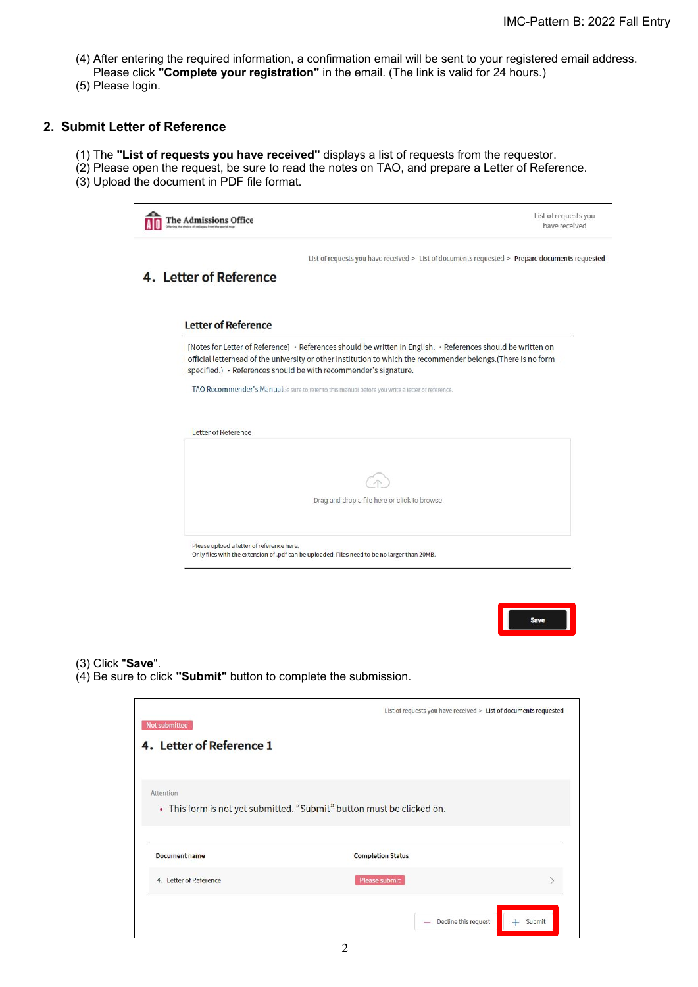- (4) After entering the required information, a confirmation email will be sent to your registered email address.
- Please click **"Complete your registration"** in the email. (The link is valid for 24 hours.) (5) Please login.

## **2. Submit Letter of Reference**

- (1) The **"List of requests you have received"** displays a list of requests from the requestor.
- (2) Please open the request, be sure to read the notes on TAO, and prepare a Letter of Reference.
- (3) Upload the document in PDF file format.

| 4. Letter of Reference<br><b>Letter of Reference</b>                                                                                                                                                                                                                                              |  |
|---------------------------------------------------------------------------------------------------------------------------------------------------------------------------------------------------------------------------------------------------------------------------------------------------|--|
|                                                                                                                                                                                                                                                                                                   |  |
|                                                                                                                                                                                                                                                                                                   |  |
| [Notes for Letter of Reference] • References should be written in English. • References should be written on<br>official letterhead of the university or other institution to which the recommender belongs.(There is no form<br>specified.) · References should be with recommender's signature. |  |
| TAO Recommender's ManualBe sure to refer to this manual before you write a letter of reference.                                                                                                                                                                                                   |  |
| Letter of Reference                                                                                                                                                                                                                                                                               |  |
|                                                                                                                                                                                                                                                                                                   |  |
| Drag and drop a file here or click to browse                                                                                                                                                                                                                                                      |  |
|                                                                                                                                                                                                                                                                                                   |  |

- (3) Click "**Save**".
- (4) Be sure to click **"Submit"** button to complete the submission.

| Not submitted                                  | List of requests you have received > List of documents requested      |  |
|------------------------------------------------|-----------------------------------------------------------------------|--|
| 4. Letter of Reference 1                       |                                                                       |  |
|                                                |                                                                       |  |
| Attention                                      | • This form is not yet submitted. "Submit" button must be clicked on. |  |
|                                                |                                                                       |  |
|                                                |                                                                       |  |
|                                                | <b>Completion Status</b>                                              |  |
| <b>Document name</b><br>4. Letter of Reference | <b>Please submit</b>                                                  |  |
|                                                |                                                                       |  |